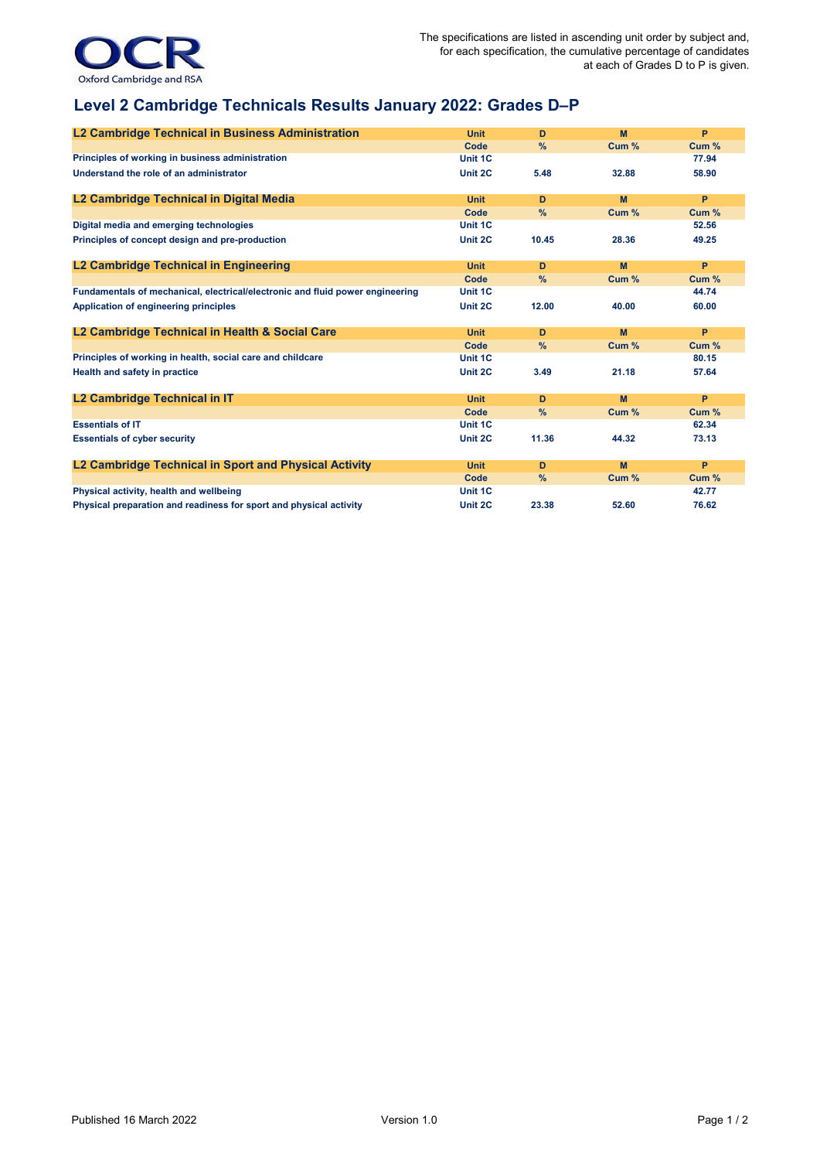

## **Level 2 Cambridge Technicals Results January 2022: Grades D–P**

| L2 Cambridge Technical in Business Administration                             | <b>Unit</b> | D     | M     | P     |
|-------------------------------------------------------------------------------|-------------|-------|-------|-------|
|                                                                               | Code        | $\%$  | Cum % | Cum % |
| Principles of working in business administration                              | Unit 1C     |       |       | 77.94 |
| Understand the role of an administrator                                       | Unit 2C     | 5.48  | 32.88 | 58.90 |
| L2 Cambridge Technical in Digital Media                                       | <b>Unit</b> | D     | M     | P     |
|                                                                               | Code        | $\%$  | Cum % | Cum % |
| Digital media and emerging technologies                                       | Unit 1C     |       |       | 52.56 |
| Principles of concept design and pre-production                               | Unit 2C     | 10.45 | 28.36 | 49.25 |
| L2 Cambridge Technical in Engineering                                         | <b>Unit</b> | D     | M     | P     |
|                                                                               | Code        | %     | Cum % | Cum % |
| Fundamentals of mechanical, electrical/electronic and fluid power engineering | Unit 1C     |       |       | 44.74 |
| Application of engineering principles                                         | Unit 2C     | 12.00 | 40.00 | 60.00 |
| L2 Cambridge Technical in Health & Social Care                                | <b>Unit</b> | D     | M     | P     |
|                                                                               | Code        | %     | Cum % | Cum % |
| Principles of working in health, social care and childcare                    | Unit 1C     |       |       | 80.15 |
| Health and safety in practice                                                 | Unit 2C     | 3.49  | 21.18 | 57.64 |
| L2 Cambridge Technical in IT                                                  | <b>Unit</b> | D     | M     | P     |
|                                                                               | Code        | $\%$  | Cum % | Cum % |
| <b>Essentials of IT</b>                                                       | Unit 1C     |       |       | 62.34 |
| <b>Essentials of cyber security</b>                                           | Unit 2C     | 11.36 | 44.32 | 73.13 |
| L2 Cambridge Technical in Sport and Physical Activity                         | <b>Unit</b> | D     | M     | P     |
|                                                                               | Code        | $\%$  | Cum % | Cum % |
| Physical activity, health and wellbeing                                       | Unit 1C     |       |       | 42.77 |
| Physical preparation and readiness for sport and physical activity            | Unit 2C     | 23.38 | 52.60 | 76.62 |